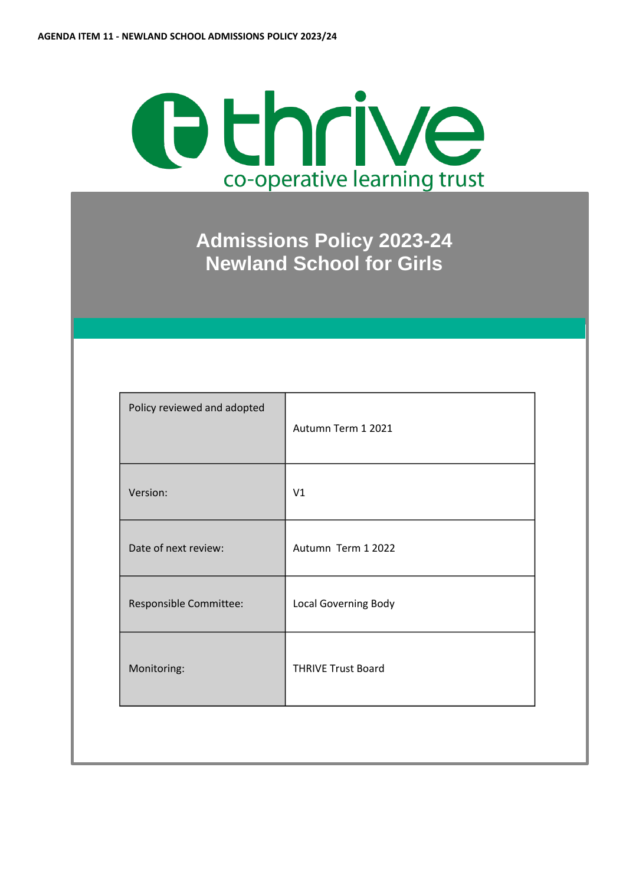# Othrive co-operative learning trust

**Admissions Policy 2023-24 Newland School for Girls**

| Policy reviewed and adopted | Autumn Term 1 2021        |
|-----------------------------|---------------------------|
| Version:                    | V1                        |
| Date of next review:        | Autumn Term 1 2022        |
| Responsible Committee:      | Local Governing Body      |
| Monitoring:                 | <b>THRIVE Trust Board</b> |
|                             |                           |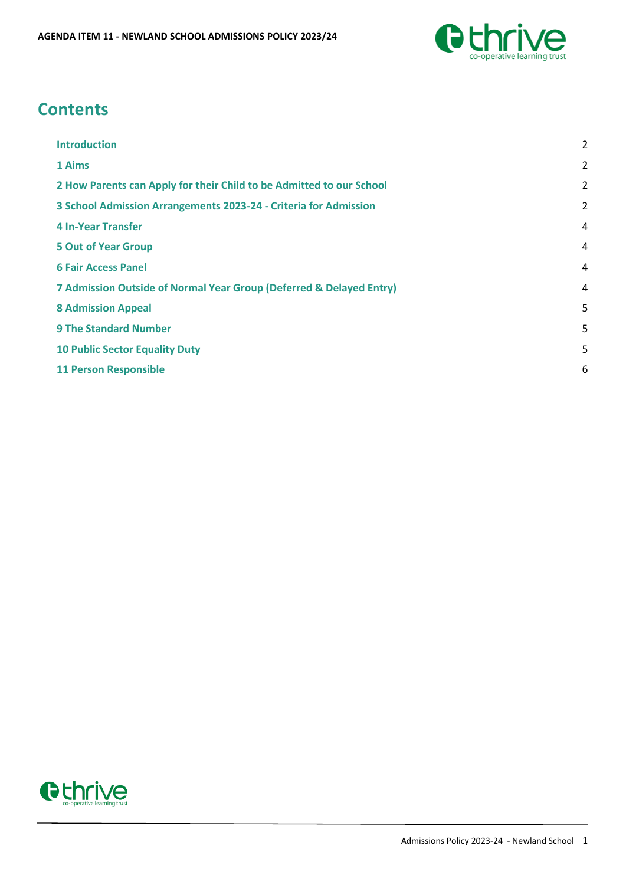

# **Contents**

| <b>Introduction</b>                                                  | 2              |
|----------------------------------------------------------------------|----------------|
| 1 Aims                                                               | $\overline{2}$ |
| 2 How Parents can Apply for their Child to be Admitted to our School | $\overline{2}$ |
| 3 School Admission Arrangements 2023-24 - Criteria for Admission     | $\overline{a}$ |
| <b>4 In-Year Transfer</b>                                            | 4              |
| <b>5 Out of Year Group</b>                                           | 4              |
| <b>6 Fair Access Panel</b>                                           | 4              |
| 7 Admission Outside of Normal Year Group (Deferred & Delayed Entry)  | 4              |
| <b>8 Admission Appeal</b>                                            | 5              |
| <b>9 The Standard Number</b>                                         | 5              |
| <b>10 Public Sector Equality Duty</b>                                | 5              |
| <b>11 Person Responsible</b>                                         | 6              |
|                                                                      |                |

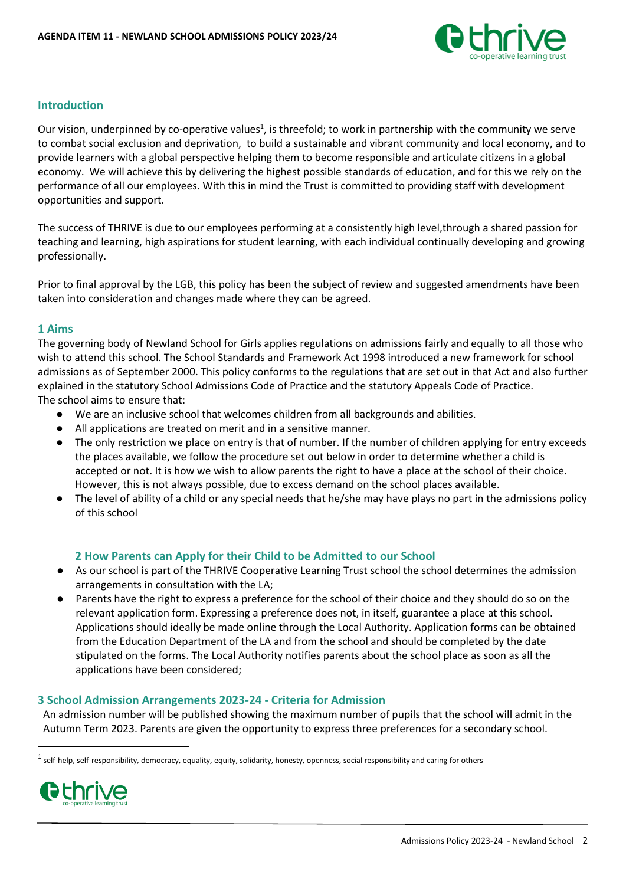

# <span id="page-2-0"></span>**Introduction**

Our vision, underpinned by co-operative values<sup>1</sup>, is threefold; to work in partnership with the community we serve to combat social exclusion and deprivation, to build a sustainable and vibrant community and local economy, and to provide learners with a global perspective helping them to become responsible and articulate citizens in a global economy. We will achieve this by delivering the highest possible standards of education, and for this we rely on the performance of all our employees. With this in mind the Trust is committed to providing staff with development opportunities and support.

The success of THRIVE is due to our employees performing at a consistently high level,through a shared passion for teaching and learning, high aspirations for student learning, with each individual continually developing and growing professionally.

Prior to final approval by the LGB, this policy has been the subject of review and suggested amendments have been taken into consideration and changes made where they can be agreed.

#### <span id="page-2-1"></span>**1 Aims**

The governing body of Newland School for Girls applies regulations on admissions fairly and equally to all those who wish to attend this school. The School Standards and Framework Act 1998 introduced a new framework for school admissions as of September 2000. This policy conforms to the regulations that are set out in that Act and also further explained in the statutory School Admissions Code of Practice and the statutory Appeals Code of Practice. The school aims to ensure that:

- We are an inclusive school that welcomes children from all backgrounds and abilities.
- All applications are treated on merit and in a sensitive manner.
- The only restriction we place on entry is that of number. If the number of children applying for entry exceeds the places available, we follow the procedure set out below in order to determine whether a child is accepted or not. It is how we wish to allow parents the right to have a place at the school of their choice. However, this is not always possible, due to excess demand on the school places available.
- The level of ability of a child or any special needs that he/she may have plays no part in the admissions policy of this school

# **2 How Parents can Apply for their Child to be Admitted to our School**

- <span id="page-2-2"></span>● As our school is part of the THRIVE Cooperative Learning Trust school the school determines the admission arrangements in consultation with the LA;
- Parents have the right to express a preference for the school of their choice and they should do so on the relevant application form. Expressing a preference does not, in itself, guarantee a place at this school. Applications should ideally be made online through the Local Authority. Application forms can be obtained from the Education Department of the LA and from the school and should be completed by the date stipulated on the forms. The Local Authority notifies parents about the school place as soon as all the applications have been considered;

#### <span id="page-2-3"></span>**3 School Admission Arrangements 2023-24 - Criteria for Admission**

An admission number will be published showing the maximum number of pupils that the school will admit in the Autumn Term 2023. Parents are given the opportunity to express three preferences for a secondary school.

 $^1$  self-help, self-responsibility, democracy, equality, equity, solidarity, honesty, openness, social responsibility and caring for others



**.**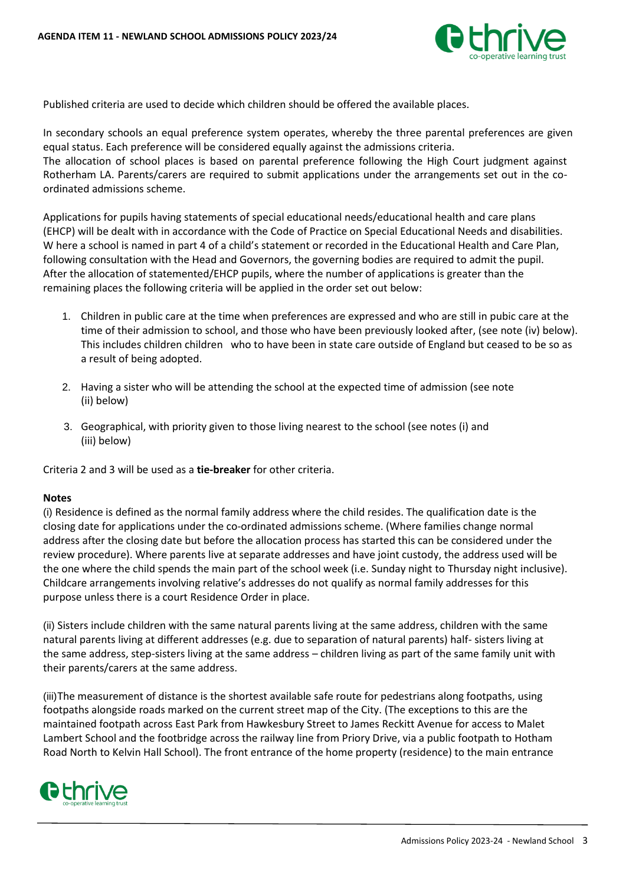

Published criteria are used to decide which children should be offered the available places.

In secondary schools an equal preference system operates, whereby the three parental preferences are given equal status. Each preference will be considered equally against the admissions criteria. The allocation of school places is based on parental preference following the High Court judgment against Rotherham LA. Parents/carers are required to submit applications under the arrangements set out in the coordinated admissions scheme.

Applications for pupils having statements of special educational needs/educational health and care plans (EHCP) will be dealt with in accordance with the Code of Practice on Special Educational Needs and disabilities. W here a school is named in part 4 of a child's statement or recorded in the Educational Health and Care Plan, following consultation with the Head and Governors, the governing bodies are required to admit the pupil. After the allocation of statemented/EHCP pupils, where the number of applications is greater than the remaining places the following criteria will be applied in the order set out below:

- 1. Children in public care at the time when preferences are expressed and who are still in pubic care at the time of their admission to school, and those who have been previously looked after, (see note (iv) below). This includes children children who to have been in state care outside of England but ceased to be so as a result of being adopted.
- 2. Having a sister who will be attending the school at the expected time of admission (see note (ii) below)
- 3. Geographical, with priority given to those living nearest to the school (see notes (i) and (iii) below)

Criteria 2 and 3 will be used as a **tie-breaker** for other criteria.

# **Notes**

(i) Residence is defined as the normal family address where the child resides. The qualification date is the closing date for applications under the co-ordinated admissions scheme. (Where families change normal address after the closing date but before the allocation process has started this can be considered under the review procedure). Where parents live at separate addresses and have joint custody, the address used will be the one where the child spends the main part of the school week (i.e. Sunday night to Thursday night inclusive). Childcare arrangements involving relative's addresses do not qualify as normal family addresses for this purpose unless there is a court Residence Order in place.

(ii) Sisters include children with the same natural parents living at the same address, children with the same natural parents living at different addresses (e.g. due to separation of natural parents) half- sisters living at the same address, step-sisters living at the same address – children living as part of the same family unit with their parents/carers at the same address.

(iii)The measurement of distance is the shortest available safe route for pedestrians along footpaths, using footpaths alongside roads marked on the current street map of the City. (The exceptions to this are the maintained footpath across East Park from Hawkesbury Street to James Reckitt Avenue for access to Malet Lambert School and the footbridge across the railway line from Priory Drive, via a public footpath to Hotham Road North to Kelvin Hall School). The front entrance of the home property (residence) to the main entrance

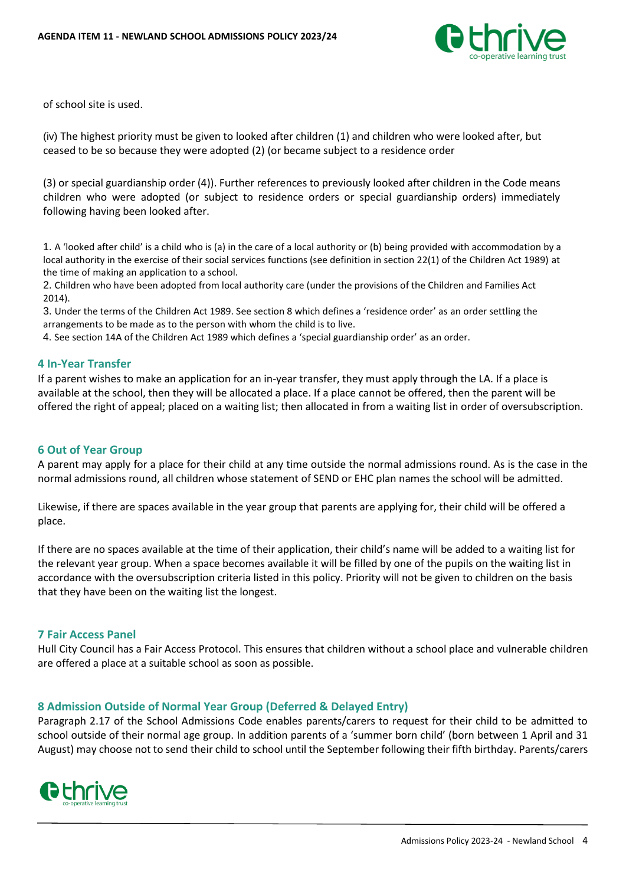

of school site is used.

(iv) The highest priority must be given to looked after children (1) and children who were looked after, but ceased to be so because they were adopted (2) (or became subject to a residence order

(3) or special guardianship order (4)). Further references to previously looked after children in the Code means children who were adopted (or subject to residence orders or special guardianship orders) immediately following having been looked after.

1. A 'looked after child' is a child who is (a) in the care of a local authority or (b) being provided with accommodation by a local authority in the exercise of their social services functions (see definition in section 22(1) of the Children Act 1989) at the time of making an application to a school.

2. Children who have been adopted from local authority care (under the provisions of the Children and Families Act 2014).

3. Under the terms of the Children Act 1989. See section 8 which defines a 'residence order' as an order settling the arrangements to be made as to the person with whom the child is to live.

4. See section 14A of the Children Act 1989 which defines a 'special guardianship order' as an order.

#### <span id="page-4-0"></span>**4 In-Year Transfer**

If a parent wishes to make an application for an in-year transfer, they must apply through the LA. If a place is available at the school, then they will be allocated a place. If a place cannot be offered, then the parent will be offered the right of appeal; placed on a waiting list; then allocated in from a waiting list in order of oversubscription.

#### <span id="page-4-1"></span>**6 Out of Year Group**

A parent may apply for a place for their child at any time outside the normal admissions round. As is the case in the normal admissions round, all children whose statement of SEND or EHC plan names the school will be admitted.

Likewise, if there are spaces available in the year group that parents are applying for, their child will be offered a place.

If there are no spaces available at the time of their application, their child's name will be added to a waiting list for the relevant year group. When a space becomes available it will be filled by one of the pupils on the waiting list in accordance with the oversubscription criteria listed in this policy. Priority will not be given to children on the basis that they have been on the waiting list the longest.

#### <span id="page-4-2"></span>**7 Fair Access Panel**

Hull City Council has a Fair Access Protocol. This ensures that children without a school place and vulnerable children are offered a place at a suitable school as soon as possible.

#### <span id="page-4-3"></span>**8 Admission Outside of Normal Year Group (Deferred & Delayed Entry)**

Paragraph 2.17 of the School Admissions Code enables parents/carers to request for their child to be admitted to school outside of their normal age group. In addition parents of a 'summer born child' (born between 1 April and 31 August) may choose not to send their child to school until the September following their fifth birthday. Parents/carers

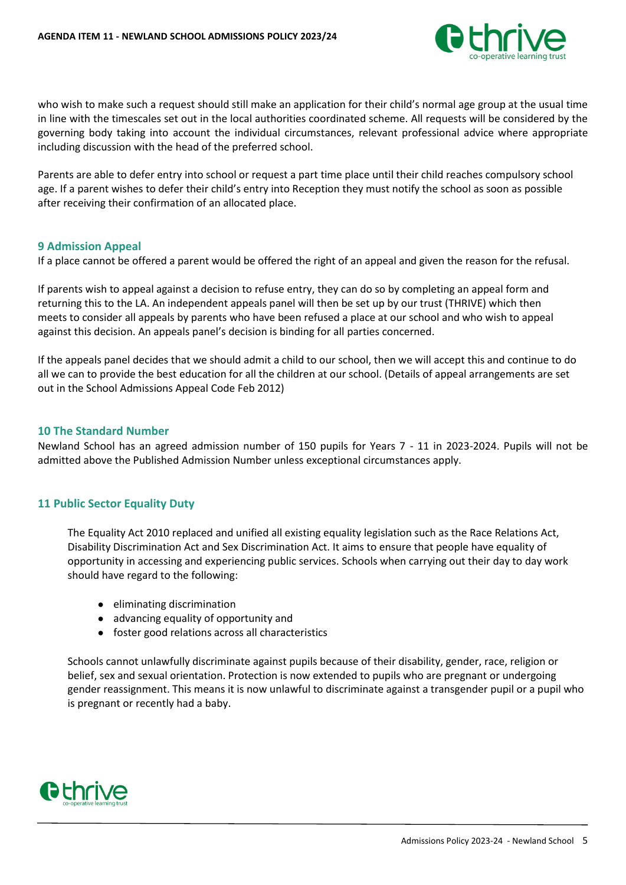

who wish to make such a request should still make an application for their child's normal age group at the usual time in line with the timescales set out in the local authorities coordinated scheme. All requests will be considered by the governing body taking into account the individual circumstances, relevant professional advice where appropriate including discussion with the head of the preferred school.

Parents are able to defer entry into school or request a part time place until their child reaches compulsory school age. If a parent wishes to defer their child's entry into Reception they must notify the school as soon as possible after receiving their confirmation of an allocated place.

#### <span id="page-5-0"></span>**9 Admission Appeal**

If a place cannot be offered a parent would be offered the right of an appeal and given the reason for the refusal.

If parents wish to appeal against a decision to refuse entry, they can do so by completing an appeal form and returning this to the LA. An independent appeals panel will then be set up by our trust (THRIVE) which then meets to consider all appeals by parents who have been refused a place at our school and who wish to appeal against this decision. An appeals panel's decision is binding for all parties concerned.

If the appeals panel decides that we should admit a child to our school, then we will accept this and continue to do all we can to provide the best education for all the children at our school. (Details of appeal arrangements are set out in the School Admissions Appeal Code Feb 2012)

#### <span id="page-5-1"></span>**10 The Standard Number**

Newland School has an agreed admission number of 150 pupils for Years 7 - 11 in 2023-2024. Pupils will not be admitted above the Published Admission Number unless exceptional circumstances apply.

# <span id="page-5-2"></span>**11 Public Sector Equality Duty**

The Equality Act 2010 replaced and unified all existing equality legislation such as the Race Relations Act, Disability Discrimination Act and Sex Discrimination Act. It aims to ensure that people have equality of opportunity in accessing and experiencing public services. Schools when carrying out their day to day work should have regard to the following:

- eliminating discrimination
- advancing equality of opportunity and
- foster good relations across all characteristics

Schools cannot unlawfully discriminate against pupils because of their disability, gender, race, religion or belief, sex and sexual orientation. Protection is now extended to pupils who are pregnant or undergoing gender reassignment. This means it is now unlawful to discriminate against a transgender pupil or a pupil who is pregnant or recently had a baby.